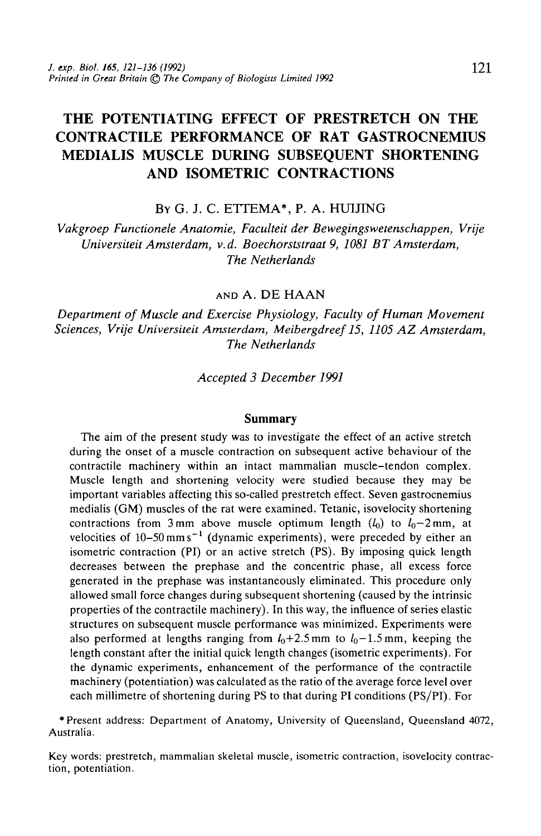# THE POTENTIATING EFFECT OF PRESTRETCH ON THE CONTRACTILE PERFORMANCE OF RAT GASTROCNEMIUS MEDIALIS MUSCLE DURING SUBSEQUENT SHORTENING AND ISOMETRIC CONTRACTIONS

BY G. J. C. ETTEMA\*, P. A. HU1JING

*Vakgroep Functionele Anatomie, Faculteit der Bewegingswetenschappen, Vrije Universiteit Amsterdam, v.d. Boechorststraat 9, 1081 BT Amsterdam, The Netherlands*

AND A. DE HAAN

*Department of Muscle and Exercise Physiology, Faculty of Human Movement Sciences, Vrije Universiteit Amsterdam, Meibergdreef 15, 1105 AZ Amsterdam, The Netherlands*

*Accepted 3 December 1991*

#### **Summary**

The aim of the present study was to investigate the effect of an active stretch during the onset of a muscle contraction on subsequent active behaviour of the contractile machinery within an intact mammalian muscle-tendon complex. Muscle length and shortening velocity were studied because they may be important variables affecting this so-called prestretch effect. Seven gastrocnemius medialis (GM) muscles of the rat were examined. Tetanic, isovelocity shortening contractions from 3 mm above muscle optimum length  $(l_0)$  to  $l_0$ -2 mm, at velocities of  $10-50$  mm s<sup> $-1$ </sup> (dynamic experiments), were preceded by either an isometric contraction (PI) or an active stretch (PS). By imposing quick length decreases between the prephase and the concentric phase, all excess force generated in the prephase was instantaneously eliminated. This procedure only allowed small force changes during subsequent shortening (caused by the intrinsic properties of the contractile machinery). In this way, the influence of series elastic structures on subsequent muscle performance was minimized. Experiments were also performed at lengths ranging from  $l_0+2.5$  mm to  $l_0-1.5$  mm, keeping the length constant after the initial quick length changes (isometric experiments). For the dynamic experiments, enhancement of the performance of the contractile machinery (potentiation) was calculated as the ratio of the average force level over each millimetre of shortening during PS to that during PI conditions (PS/PI). For

\* Present address: Department of Anatomy, University of Queensland, Queensland 4072, Australia.

Key words: prestretch, mammalian skeletal muscle, isometric contraction, isovelocity contrac- tion, potentiation.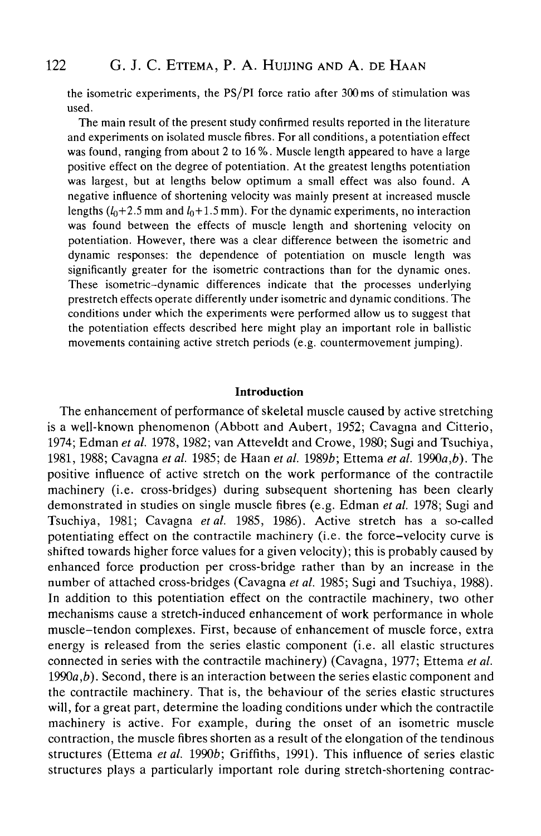the isometric experiments, the PS/PI force ratio after 300 ms of stimulation was used.

The main result of the present study confirmed results reported in the literature and experiments on isolated muscle fibres. For all conditions, a potentiation effect was found, ranging from about 2 to 16 %. Muscle length appeared to have a large positive effect on the degree of potentiation. At the greatest lengths potentiation was largest, but at lengths below optimum a small effect was also found. A negative influence of shortening velocity was mainly present at increased muscle lengths  $(l_0+2.5$  mm and  $l_0+1.5$  mm). For the dynamic experiments, no interaction was found between the effects of muscle length and shortening velocity on potentiation. However, there was a clear difference between the isometric and dynamic responses: the dependence of potentiation on muscle length was significantly greater for the isometric contractions than for the dynamic ones. These isometric-dynamic differences indicate that the processes underlying prestretch effects operate differently under isometric and dynamic conditions. The conditions under which the experiments were performed allow us to suggest that the potentiation effects described here might play an important role in ballistic movements containing active stretch periods (e.g. countermovement jumping).

### **Introduction**

The enhancement of performance of skeletal muscle caused by active stretching is a well-known phenomenon (Abbott and Aubert, 1952; Cavagna and Citterio, 1974; Edman *et al.* 1978,1982; van Atteveldt and Crowe, 1980; Sugi and Tsuchiya, 1981, 1988; Cavagna *et al.* 1985; de Haan *et al.* 19896; Ettema *et al.* 1990a,*b).* The positive influence of active stretch on the work performance of the contractile machinery (i.e. cross-bridges) during subsequent shortening has been clearly demonstrated in studies on single muscle fibres (e.g. Edman *et al.* 1978; Sugi and Tsuchiya, 1981; Cavagna *et al.* 1985, 1986). Active stretch has a so-called potentiating effect on the contractile machinery (i.e. the force-velocity curve is shifted towards higher force values for a given velocity); this is probably caused by enhanced force production per cross-bridge rather than by an increase in the number of attached cross-bridges (Cavagna *et al.* 1985; Sugi and Tsuchiya, 1988). In addition to this potentiation effect on the contractile machinery, two other mechanisms cause a stretch-induced enhancement of work performance in whole muscle-tendon complexes. First, because of enhancement of muscle force, extra energy is released from the series elastic component (i.e. all elastic structures connected in series with the contractile machinery) (Cavagna, 1977; Ettema *et al.* 1990a,*b).* Second, there is an interaction between the series elastic component and the contractile machinery. That is, the behaviour of the series elastic structures will, for a great part, determine the loading conditions under which the contractile machinery is active. For example, during the onset of an isometric muscle contraction, the muscle fibres shorten as a result of the elongation of the tendinous structures (Ettema et al. 1990b; Griffiths, 1991). This influence of series elastic structures plays a particularly important role during stretch-shortening contrac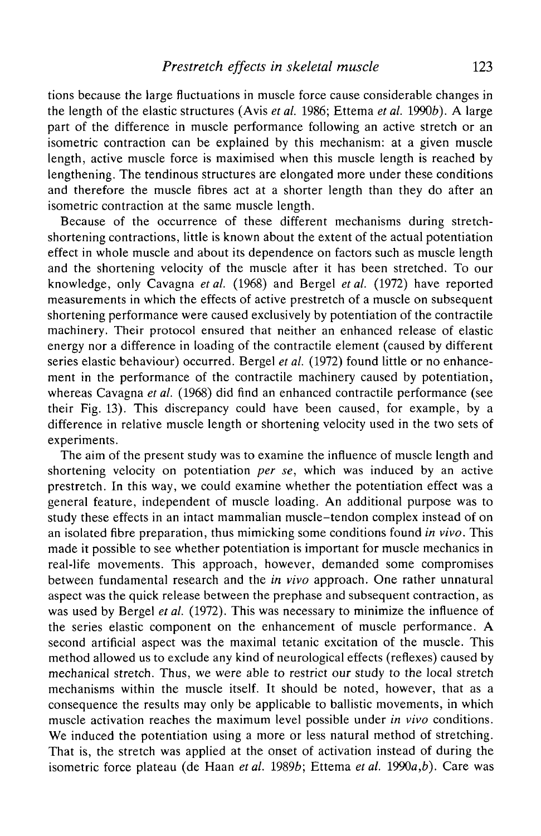tions because the large fluctuations in muscle force cause considerable changes in the length of the elastic structures (Avis *et al.* 1986; Ettema *et al.* 19906). A large part of the difference in muscle performance following an active stretch or an isometric contraction can be explained by this mechanism: at a given muscle length, active muscle force is maximised when this muscle length is reached by lengthening. The tendinous structures are elongated more under these conditions and therefore the muscle fibres act at a shorter length than they do after an isometric contraction at the same muscle length.

Because of the occurrence of these different mechanisms during stretchshortening contractions, little is known about the extent of the actual potentiation effect in whole muscle and about its dependence on factors such as muscle length and the shortening velocity of the muscle after it has been stretched. To our knowledge, only Cavagna *et al.* (1968) and Bergel *et al.* (1972) have reported measurements in which the effects of active prestretch of a muscle on subsequent shortening performance were caused exclusively by potentiation of the contractile machinery. Their protocol ensured that neither an enhanced release of elastic energy nor a difference in loading of the contractile element (caused by different series elastic behaviour) occurred. Bergel *et al.* (1972) found little or no enhancement in the performance of the contractile machinery caused by potentiation, whereas Cavagna *et al.* (1968) did find an enhanced contractile performance (see their Fig. 13). This discrepancy could have been caused, for example, by a difference in relative muscle length or shortening velocity used in the two sets of experiments.

The aim of the present study was to examine the influence of muscle length and shortening velocity on potentiation *per se,* which was induced by an active prestretch. In this way, we could examine whether the potentiation effect was a general feature, independent of muscle loading. An additional purpose was to study these effects in an intact mammalian muscle-tendon complex instead of on an isolated fibre preparation, thus mimicking some conditions found *in vivo.* This made it possible to see whether potentiation is important for muscle mechanics in real-life movements. This approach, however, demanded some compromises between fundamental research and the *in vivo* approach. One rather unnatural aspect was the quick release between the prephase and subsequent contraction, as was used by Bergel *et al.* (1972). This was necessary to minimize the influence of the series elastic component on the enhancement of muscle performance. A second artificial aspect was the maximal tetanic excitation of the muscle. This method allowed us to exclude any kind of neurological effects (reflexes) caused by mechanical stretch. Thus, we were able to restrict our study to the local stretch mechanisms within the muscle itself. It should be noted, however, that as a consequence the results may only be applicable to ballistic movements, in which muscle activation reaches the maximum level possible under *in vivo* conditions. We induced the potentiation using a more or less natural method of stretching. That is, the stretch was applied at the onset of activation instead of during the isometric force plateau (de Haan *et al.* 19896; Ettema *et al.* 1990a,*b).* Care was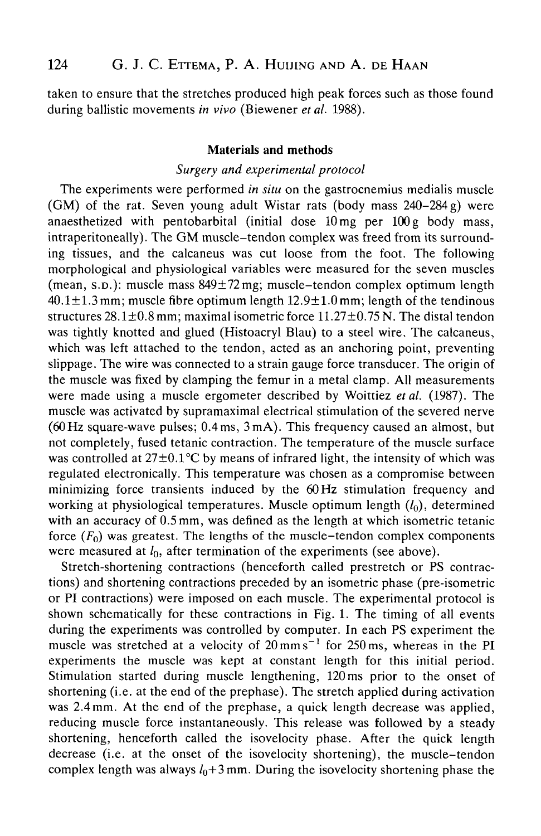taken to ensure that the stretches produced high peak forces such as those found during ballistic movements *in vivo* (Biewener *etal.* 1988).

### **Materials and methods**

### *Surgery and experimental protocol*

The experiments were performed *in situ* on the gastrocnemius medialis muscle (GM) of the rat. Seven young adult Wistar rats (body mass 240-284g) were anaesthetized with pentobarbital (initial dose 10mg per 100g body mass, intraperitoneally). The GM muscle-tendon complex was freed from its surrounding tissues, and the calcaneus was cut loose from the foot. The following morphological and physiological variables were measured for the seven muscles (mean, S.D.): muscle mass 849±72mg; muscle-tendon complex optimum length  $40.1 \pm 1.3$  mm; muscle fibre optimum length  $12.9 \pm 1.0$  mm; length of the tendinous structures  $28.1 \pm 0.8$  mm; maximal isometric force  $11.27 \pm 0.75$  N. The distal tendon was tightly knotted and glued (Histoacryl Blau) to a steel wire. The calcaneus, which was left attached to the tendon, acted as an anchoring point, preventing slippage. The wire was connected to a strain gauge force transducer. The origin of the muscle was fixed by clamping the femur in a metal clamp. All measurements were made using a muscle ergometer described by Woittiez *etal.* (1987). The muscle was activated by supramaximal electrical stimulation of the severed nerve (60Hz square-wave pulses; 0.4ms, 3mA). This frequency caused an almost, but not completely, fused tetanic contraction. The temperature of the muscle surface was controlled at  $27\pm0.1^{\circ}$ C by means of infrared light, the intensity of which was regulated electronically. This temperature was chosen as a compromise between minimizing force transients induced by the 60 Hz stimulation frequency and working at physiological temperatures. Muscle optimum length  $(l_0)$ , determined with an accuracy of 0.5 mm, was defined as the length at which isometric tetanic force  $(F_0)$  was greatest. The lengths of the muscle-tendon complex components were measured at  $l_0$ , after termination of the experiments (see above).

Stretch-shortening contractions (henceforth called prestretch or PS contractions) and shortening contractions preceded by an isometric phase (pre-isometric or PI contractions) were imposed on each muscle. The experimental protocol is shown schematically for these contractions in Fig. 1. The timing of all events during the experiments was controlled by computer. In each PS experiment the muscle was stretched at a velocity of  $20 \text{ mm s}^{-1}$  for  $250 \text{ ms}$ , whereas in the PI experiments the muscle was kept at constant length for this initial period. Stimulation started during muscle lengthening, 120 ms prior to the onset of shortening (i.e. at the end of the prephase). The stretch applied during activation was 2.4mm. At the end of the prephase, a quick length decrease was applied, reducing muscle force instantaneously. This release was followed by a steady shortening, henceforth called the isovelocity phase. After the quick length decrease (i.e. at the onset of the isovelocity shortening), the muscle-tendon complex length was always  $l_0+3$  mm. During the isovelocity shortening phase the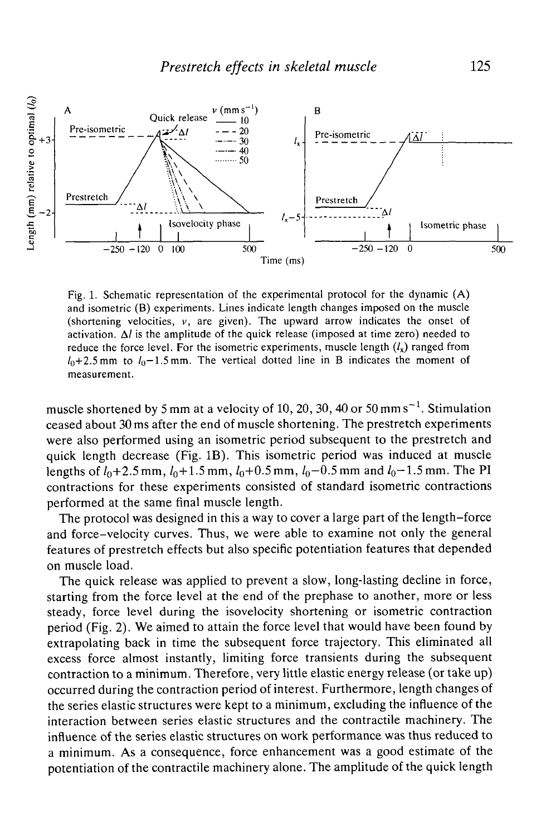

Fig. 1. Schematic representation of the experimental protocol for the dynamic (A) and isometric (B) experiments. Lines indicate length changes imposed on the muscle (shortening velocities,  $v$ , are given). The upward arrow indicates the onset of activation.  $\Delta l$  is the amplitude of the quick release (imposed at time zero) needed to reduce the force level. For the isometric experiments, muscle length  $(l_x)$  ranged from  $I_0+2.5$  mm to  $I_0-1.5$  mm. The vertical dotted line in B indicates the moment of measurement.

muscle shortened by 5 mm at a velocity of 10, 20, 30, 40 or 50 mm  $s^{-1}$ . Stimulation ceased about 30 ms after the end of muscle shortening. The prestretch experiments were also performed using an isometric period subsequent to the prestretch and quick length decrease (Fig. IB). This isometric period was induced at muscle lengths of  $l_0+2.5$  mm,  $l_0+1.5$  mm,  $l_0+0.5$  mm,  $l_0-0.5$  mm and  $l_0-1.5$  mm. The PI contractions for these experiments consisted of standard isometric contractions performed at the same final muscle length.

The protocol was designed in this a way to cover a large part of the length-force and force-velocity curves. Thus, we were able to examine not only the general features of prestretch effects but also specific potentiation features that depended on muscle load.

The quick release was applied to prevent a slow, long-lasting decline in force, starting from the force level at the end of the prephase to another, more or less steady, force level during the isovelocity shortening or isometric contraction period (Fig. 2). We aimed to attain the force level that would have been found by extrapolating back in time the subsequent force trajectory. This eliminated all excess force almost instantly, limiting force transients during the subsequent contraction to a minimum. Therefore, very little elastic energy release (or take up) occurred during the contraction period of interest. Furthermore, length changes of the series elastic structures were kept to a minimum, excluding the influence of the interaction between series elastic structures and the contractile machinery. The influence of the series elastic structures on work performance was thus reduced to a minimum. As a consequence, force enhancement was a good estimate of the potentiation of the contractile machinery alone. The amplitude of the quick length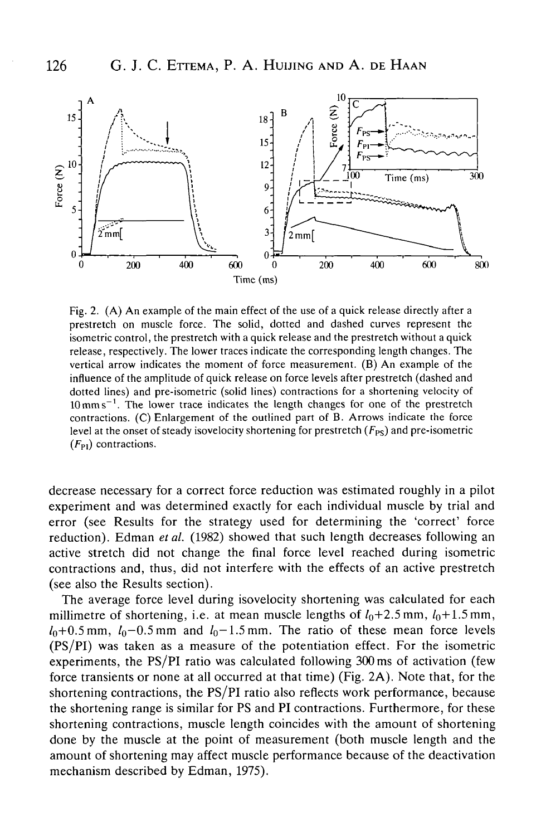

Fig. 2. (A) An example of the main effect of the use of a quick release directly after a prestretch on muscle force. The solid, dotted and dashed curves represent the isometric control, the prestretch with a quick release and the prestretch without a quick release, respectively. The lower traces indicate the corresponding length changes. The vertical arrow indicates the moment of force measurement. (B) An example of the influence of the amplitude of quick release on force levels after prestretch (dashed and dotted lines) and pre-isometric (solid lines) contractions for a shortening velocity of  $10 \text{ mm s}^{-1}$ . The lower trace indicates the length changes for one of the prestretch contractions. (C) Enlargement of the outlined part of B. Arrows indicate the force level at the onset of steady isovelocity shortening for prestretch  $(F_{PS})$  and pre-isometric  $(F_{\text{Pl}})$  contractions.

decrease necessary for a correct force reduction was estimated roughly in a pilot experiment and was determined exactly for each individual muscle by trial and error (see Results for the strategy used for determining the 'correct' force reduction). Edman *et al.* (1982) showed that such length decreases following an active stretch did not change the final force level reached during isometric contractions and, thus, did not interfere with the effects of an active prestretch (see also the Results section).

The average force level during isovelocity shortening was calculated for each millimetre of shortening, i.e. at mean muscle lengths of  $l_0+2.5$  mm,  $l_0+1.5$  mm,  $l_0+0.5$  mm,  $l_0$ -0.5 mm and  $l_0$ -1.5 mm. The ratio of these mean force levels (PS/PI) was taken as a measure of the potentiation effect. For the isometric experiments, the PS/PI ratio was calculated following 300 ms of activation (few force transients or none at all occurred at that time) (Fig. 2A). Note that, for the shortening contractions, the PS/PI ratio also reflects work performance, because the shortening range is similar for PS and PI contractions. Furthermore, for these shortening contractions, muscle length coincides with the amount of shortening done by the muscle at the point of measurement (both muscle length and the amount of shortening may affect muscle performance because of the deactivation mechanism described by Edman, 1975).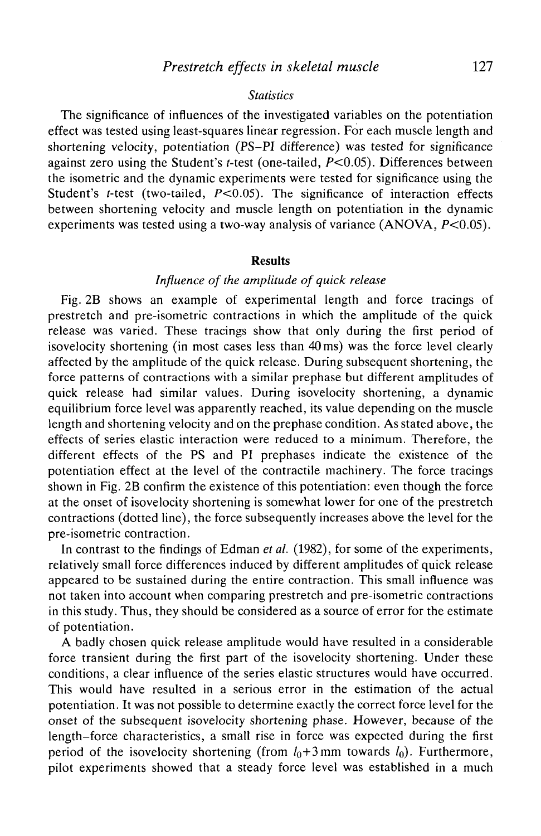### *Statistics*

The significance of influences of the investigated variables on the potentiation effect was tested using least-squares linear regression. For each muscle length and shortening velocity, potentiation (PS-PI difference) was tested for significance against zero using the Student's *t*-test (one-tailed,  $P < 0.05$ ). Differences between the isometric and the dynamic experiments were tested for significance using the Student's *t*-test (two-tailed,  $P < 0.05$ ). The significance of interaction effects between shortening velocity and muscle length on potentiation in the dynamic experiments was tested using a two-way analysis of variance  $(ANOVA, P<0.05)$ .

#### **Results**

# *Influence of the amplitude of quick release*

Fig. 2B shows an example of experimental length and force tracings of prestretch and pre-isometric contractions in which the amplitude of the quick release was varied. These tracings show that only during the first period of isovelocity shortening (in most cases less than 40 ms) was the force level clearly affected by the amplitude of the quick release. During subsequent shortening, the force patterns of contractions with a similar prephase but different amplitudes of quick release had similar values. During isovelocity shortening, a dynamic equilibrium force level was apparently reached, its value depending on the muscle length and shortening velocity and on the prephase condition. As stated above, the effects of series elastic interaction were reduced to a minimum. Therefore, the different effects of the PS and PI prephases indicate the existence of the potentiation effect at the level of the contractile machinery. The force tracings shown in Fig. 2B confirm the existence of this potentiation: even though the force at the onset of isovelocity shortening is somewhat lower for one of the prestretch contractions (dotted line), the force subsequently increases above the level for the pre-isometric contraction.

In contrast to the findings of Edman *et al.* (1982), for some of the experiments, relatively small force differences induced by different amplitudes of quick release appeared to be sustained during the entire contraction. This small influence was not taken into account when comparing prestretch and pre-isometric contractions in this study. Thus, they should be considered as a source of error for the estimate of potentiation.

A badly chosen quick release amplitude would have resulted in a considerable force transient during the first part of the isovelocity shortening. Under these conditions, a clear influence of the series elastic structures would have occurred. This would have resulted in a serious error in the estimation of the actual potentiation. It was not possible to determine exactly the correct force level for the onset of the subsequent isovelocity shortening phase. However, because of the length-force characteristics, a small rise in force was expected during the first period of the isovelocity shortening (from  $l_0+3$  mm towards  $l_0$ ). Furthermore, pilot experiments showed that a steady force level was established in a much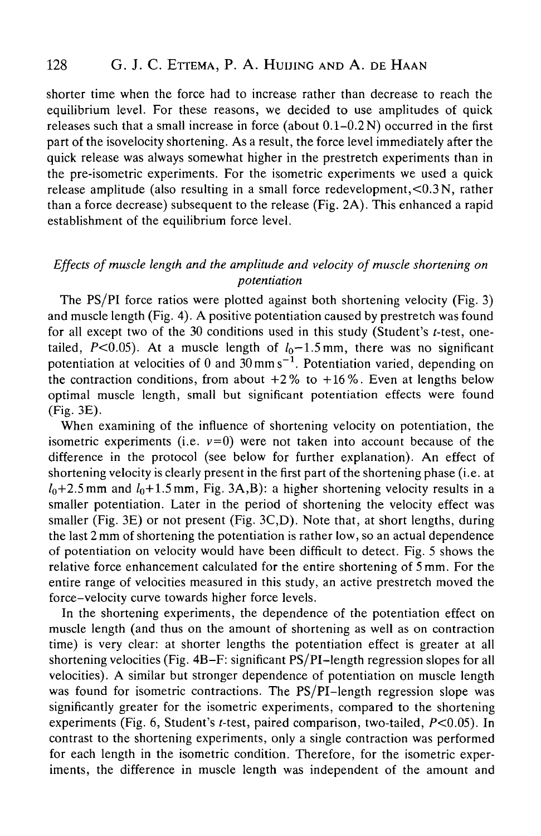shorter time when the force had to increase rather than decrease to reach the equilibrium level. For these reasons, we decided to use amplitudes of quick releases such that a small increase in force (about 0.1-0.2 N) occurred in the first part of the isovelocity shortening. As a result, the force level immediately after the quick release was always somewhat higher in the prestretch experiments than in the pre-isometric experiments. For the isometric experiments we used a quick release amplitude (also resulting in a small force redevelopment,<0.3 N, rather than a force decrease) subsequent to the release (Fig. 2A). This enhanced a rapid establishment of the equilibrium force level.

# *Effects of muscle length and the amplitude and velocity of muscle shortening on potentiation*

The PS/PI force ratios were plotted against both shortening velocity (Fig. 3) and muscle length (Fig. 4). A positive potentiation caused by prestretch was found for all except two of the  $30$  conditions used in this study (Student's t-test, onetailed, P<0.05). At a muscle length of  $l_0$ -1.5mm, there was no significant potentiation at velocities of 0 and  $30 \text{ mm s}^{-1}$ . Potentiation varied, depending on the contraction conditions, from about  $+2\%$  to  $+16\%$ . Even at lengths below optimal muscle length, small but significant potentiation effects were found (Fig. 3E).

When examining of the influence of shortening velocity on potentiation, the isometric experiments (i.e.  $v=0$ ) were not taken into account because of the difference in the protocol (see below for further explanation). An effect of shortening velocity is clearly present in the first part of the shortening phase (i.e. at  $l_0+2.5$  mm and  $l_0+1.5$  mm, Fig. 3A,B): a higher shortening velocity results in a smaller potentiation. Later in the period of shortening the velocity effect was smaller (Fig. 3E) or not present (Fig. 3C,D). Note that, at short lengths, during the last 2 mm of shortening the potentiation is rather low, so an actual dependence of potentiation on velocity would have been difficult to detect. Fig. 5 shows the relative force enhancement calculated for the entire shortening of 5 mm. For the entire range of velocities measured in this study, an active prestretch moved the force-velocity curve towards higher force levels.

In the shortening experiments, the dependence of the potentiation effect on muscle length (and thus on the amount of shortening as well as on contraction time) is very clear: at shorter lengths the potentiation effect is greater at all shortening velocities (Fig. 4B-F: significant PS/PI-length regression slopes for all velocities). A similar but stronger dependence of potentiation on muscle length was found for isometric contractions. The PS/PI-length regression slope was significantly greater for the isometric experiments, compared to the shortening experiments (Fig. 6, Student's f-test, paired comparison, two-tailed, *P<0.05).* In contrast to the shortening experiments, only a single contraction was performed for each length in the isometric condition. Therefore, for the isometric experiments, the difference in muscle length was independent of the amount and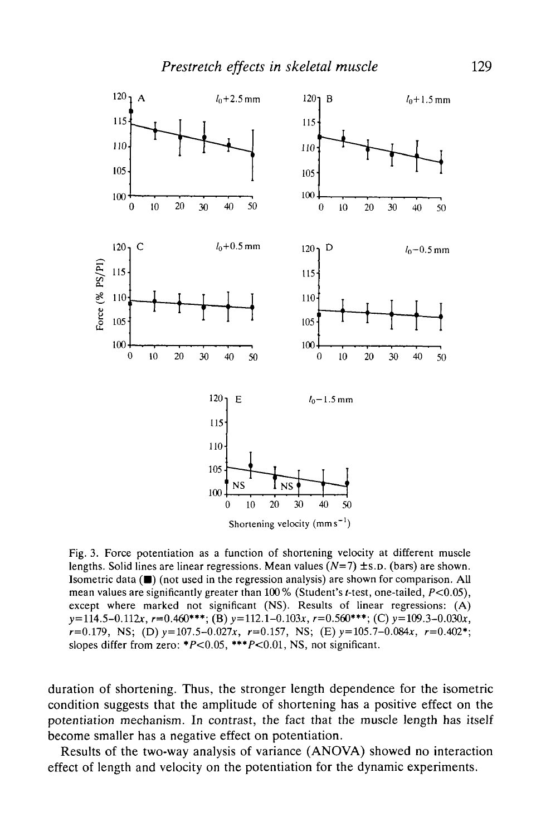

Fig. 3. Force potentiation as a function of shortening velocity at different muscle lengths. Solid lines are linear regressions. Mean values  $(N=7) \pm s$ .D. (bars) are shown. Isometric data  $(\blacksquare)$  (not used in the regression analysis) are shown for comparison. All mean values are significantly greater than 100% (Student's t-test, one-tailed,  $P<0.05$ ), except where marked not significant (NS). Results of linear regressions: (A)  $y=114.5-0.112x$ ,  $r=0.460***$ ; (B)  $y=112.1-0.103x$ ,  $r=0.560***$ ; (C)  $y=109.3-0.030x$ ,  $r=0.179$ , NS; (D)  $y=107.5-0.027x$ ,  $r=0.157$ , NS; (E)  $y=105.7-0.084x$ ,  $r=0.402$ <sup>\*</sup>; slopes differ from zero: \* $P \le 0.05$ , \*\*\* $P \le 0.01$ , NS, not significant.

duration of shortening. Thus, the stronger length dependence for the isometric condition suggests that the amplitude of shortening has a positive effect on the potentiation mechanism. In contrast, the fact that the muscle length has itself become smaller has a negative effect on potentiation.

Results of the two-way analysis of variance (ANOVA) showed no interaction effect of length and velocity on the potentiation for the dynamic experiments.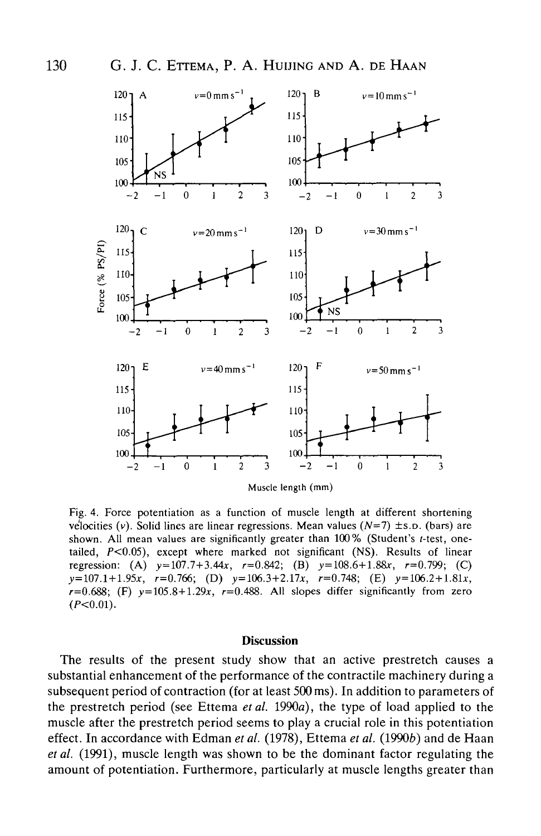$(P<0.01)$ .



Fig. 4. Force potentiation as a function of muscle length at different shortening velocities (v). Solid lines are linear regressions. Mean values  $(N=7)$  ±s.p. (bars) are shown. All mean values are significantly greater than  $100\%$  (Student's t-test, onetailed, *P<0.05),* except where marked not significant (NS). Results of linear regression: (A)  $y=107.7+3.44x$ ,  $r=0.842$ ; (B)  $y=108.6+1.88x$ ,  $r=0.799$ ; (C)  $y=107.1+1.95x$ ,  $r=0.766$ ; (D)  $y=106.3+2.17x$ ,  $r=0.748$ ; (E)  $y=106.2+1.81x$ ,

#### **Discussion**

 $r=0.688$ ; (F)  $y=105.8+1.29x$ ,  $r=0.488$ . All slopes differ significantly from zero

The results of the present study show that an active prestretch causes a substantial enhancement of the performance of the contractile machinery during a subsequent period of contraction (for at least 500 ms). In addition to parameters of the prestretch period (see Ettema *etal.* 1990a), the type of load applied to the muscle after the prestretch period seems to play a crucial role in this potentiation effect. In accordance with Edman *et al.* (1978), Ettema *et al.* (1990b) and de Haan *etal.* (1991), muscle length was shown to be the dominant factor regulating the amount of potentiation. Furthermore, particularly at muscle lengths greater than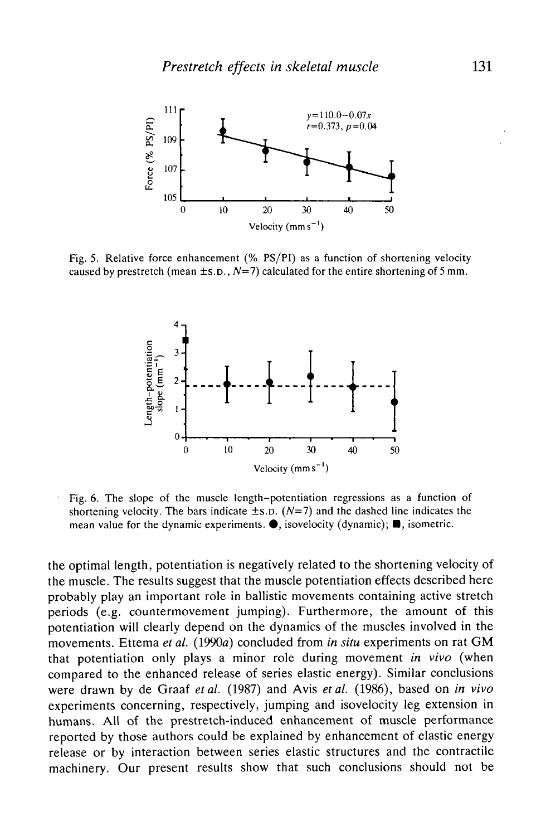

Fig. 5. Relative force enhancement (% PS/PI) as a function of shortening velocity caused by prestretch (mean  $\pm$ s.p.,  $N=7$ ) calculated for the entire shortening of 5 mm.



Fig. 6. The slope of the muscle length-potentiation regressions as a function of shortening velocity. The bars indicate  $\pm$ s.p. ( $N=7$ ) and the dashed line indicates the mean value for the dynamic experiments.  $\bullet$ , isovelocity (dynamic);  $\blacksquare$ , isometric.

the optimal length, potentiation is negatively related to the shortening velocity of the muscle. The results suggest that the muscle potentiation effects described here probably play an important role in ballistic movements containing active stretch periods (e.g. countermovement jumping). Furthermore, the amount of this potentiation will clearly depend on the dynamics of the muscles involved in the movements. Ettema *et al.* (1990a) concluded from *in situ* experiments on rat GM that potentiation only plays a minor role during movement *in vivo* (when compared to the enhanced release of series elastic energy). Similar conclusions were drawn by de Graaf *et al.* (1987) and Avis *et al.* (1986), based on *in vivo* experiments concerning, respectively, jumping and isovelocity leg extension in humans. All of the prestretch-induced enhancement of muscle performance reported by those authors could be explained by enhancement of elastic energy release or by interaction between series elastic structures and the contractile machinery. Our present results show that such conclusions should not be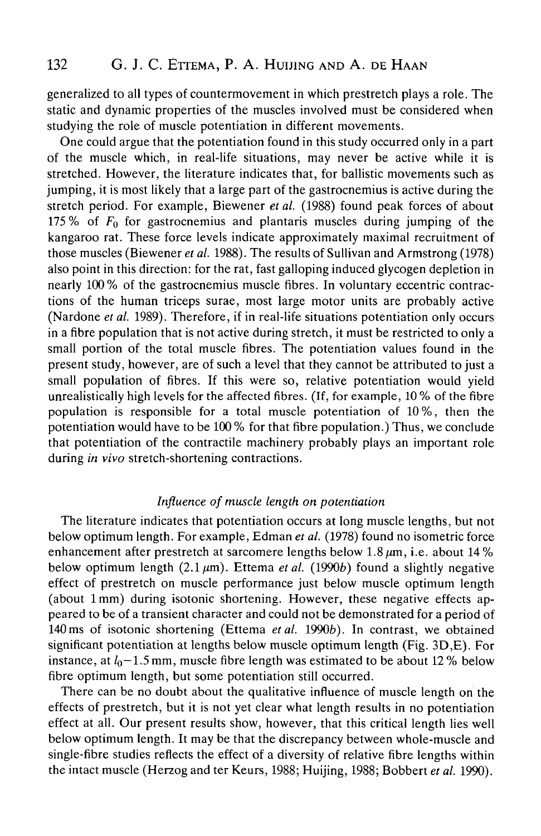generalized to all types of countermovement in which prestretch plays a role. The static and dynamic properties of the muscles involved must be considered when studying the role of muscle potentiation in different movements.

One could argue that the potentiation found in this study occurred only in a part of the muscle which, in real-life situations, may never be active while it is stretched. However, the literature indicates that, for ballistic movements such as jumping, it is most likely that a large part of the gastrocnemius is active during the stretch period. For example, Biewener *etal.* (1988) found peak forces of about 175 % of *Fo* for gastrocnemius and plantaris muscles during jumping of the kangaroo rat. These force levels indicate approximately maximal recruitment of those muscles (Biewener *et al.* 1988). The results of Sullivan and Armstrong (1978) also point in this direction: for the rat, fast galloping induced glycogen depletion in nearly 100% of the gastrocnemius muscle fibres. In voluntary eccentric contractions of the human triceps surae, most large motor units are probably active (Nardone *et al.* 1989). Therefore, if in real-life situations potentiation only occurs in a fibre population that is not active during stretch, it must be restricted to only a small portion of the total muscle fibres. The potentiation values found in the present study, however, are of such a level that they cannot be attributed to just a small population of fibres. If this were so, relative potentiation would yield unrealistically high levels for the affected fibres. (If, for example, 10 % of the fibre population is responsible for a total muscle potentiation of 10 %, then the potentiation would have to be 100 % for that fibre population.) Thus, we conclude that potentiation of the contractile machinery probably plays an important role during *in vivo* stretch-shortening contractions.

# *Influence of muscle length on potentiation*

The literature indicates that potentiation occurs at long muscle lengths, but not below optimum length. For example, Edman *et al.* (1978) found no isometric force enhancement after prestretch at sarcomere lengths below 1.8 $\mu$ m, i.e. about 14% below optimum length  $(2.1 \mu m)$ . Ettema *et al.* (1990*b*) found a slightly negative effect of prestretch on muscle performance just below muscle optimum length (about 1 mm) during isotonic shortening. However, these negative effects appeared to be of a transient character and could not be demonstrated for a period of 140ms of isotonic shortening (Ettema *etal.* 19906). In contrast, we obtained significant potentiation at lengths below muscle optimum length (Fig. 3D,E). For instance, at  $l_0$  – 1.5 mm, muscle fibre length was estimated to be about 12 % below fibre optimum length, but some potentiation still occurred.

There can be no doubt about the qualitative influence of muscle length on the effects of prestretch, but it is not yet clear what length results in no potentiation effect at all. Our present results show, however, that this critical length lies well below optimum length. It may be that the discrepancy between whole-muscle and single-fibre studies reflects the effect of a diversity of relative fibre lengths within the intact muscle (Herzog and ter Keurs, 1988; Huijing, 1988; Bobbert *et al.* 1990).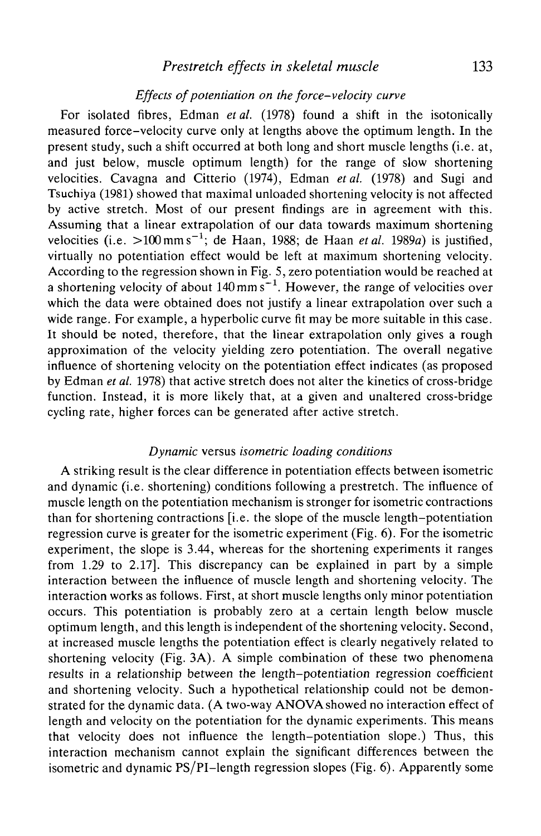# *Prestretch effects in skeletal muscle* 133

### *Effects of potentiation on the force-velocity curve*

For isolated fibres, Edman *et al.* (1978) found a shift in the isotonically measured force-velocity curve only at lengths above the optimum length. In the present study, such a shift occurred at both long and short muscle lengths (i.e. at, and just below, muscle optimum length) for the range of slow shortening velocities. Cavagna and Citterio (1974), Edman *et al.* (1978) and Sugi and Tsuchiya (1981) showed that maximal unloaded shortening velocity is not affected by active stretch. Most of our present findings are in agreement with this. Assuming that a linear extrapolation of our data towards maximum shortening velocities (i.e. >100mms~<sup>1</sup> ; de Haan, 1988; de Haan *et al.* 1989a) is justified, virtually no potentiation effect would be left at maximum shortening velocity. According to the regression shown in Fig. 5, zero potentiation would be reached at a shortening velocity of about 140 mm  $s^{-1}$ . However, the range of velocities over which the data were obtained does not justify a linear extrapolation over such a wide range. For example, a hyperbolic curve fit may be more suitable in this case. It should be noted, therefore, that the linear extrapolation only gives a rough approximation of the velocity yielding zero potentiation. The overall negative influence of shortening velocity on the potentiation effect indicates (as proposed by Edman *et al.* 1978) that active stretch does not alter the kinetics of cross-bridge function. Instead, it is more likely that, at a given and unaltered cross-bridge cycling rate, higher forces can be generated after active stretch.

### *Dynamic* versus *isometric loading conditions*

A striking result is the clear difference in potentiation effects between isometric and dynamic (i.e. shortening) conditions following a prestretch. The influence of muscle length on the potentiation mechanism is stronger for isometric contractions than for shortening contractions [i.e. the slope of the muscle length-potentiation regression curve is greater for the isometric experiment (Fig. 6). For the isometric experiment, the slope is 3.44, whereas for the shortening experiments it ranges from 1.29 to 2.17]. This discrepancy can be explained in part by a simple interaction between the influence of muscle length and shortening velocity. The interaction works as follows. First, at short muscle lengths only minor potentiation occurs. This potentiation is probably zero at a certain length below muscle optimum length, and this length is independent of the shortening velocity. Second, at increased muscle lengths the potentiation effect is clearly negatively related to shortening velocity (Fig. 3A). A simple combination of these two phenomena results in a relationship between the length-potentiation regression coefficient and shortening velocity. Such a hypothetical relationship could not be demonstrated for the dynamic data. (A two-way ANOVAshowed no interaction effect of length and velocity on the potentiation for the dynamic experiments. This means that velocity does not influence the length-potentiation slope.) Thus, this interaction mechanism cannot explain the significant differences between the isometric and dynamic PS/PI-length regression slopes (Fig. 6). Apparently some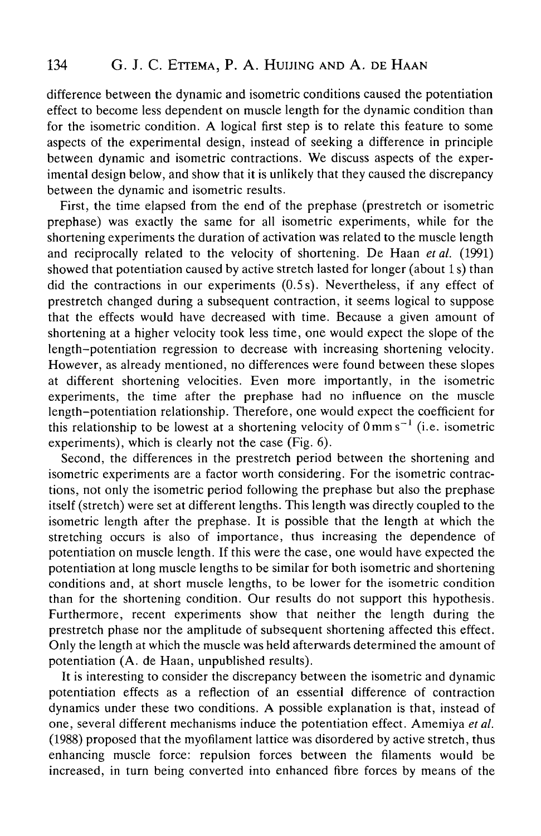difference between the dynamic and isometric conditions caused the potentiation effect to become less dependent on muscle length for the dynamic condition than for the isometric condition. A logical first step is to relate this feature to some aspects of the experimental design, instead of seeking a difference in principle between dynamic and isometric contractions. We discuss aspects of the experimental design below, and show that it is unlikely that they caused the discrepancy between the dynamic and isometric results.

First, the time elapsed from the end of the prephase (prestretch or isometric prephase) was exactly the same for all isometric experiments, while for the shortening experiments the duration of activation was related to the muscle length and reciprocally related to the velocity of shortening. De Haan *et al.* (1991) showed that potentiation caused by active stretch lasted for longer (about 1 s) than did the contractions in our experiments (0.5s). Nevertheless, if any effect of prestretch changed during a subsequent contraction, it seems logical to suppose that the effects would have decreased with time. Because a given amount of shortening at a higher velocity took less time, one would expect the slope of the length-potentiation regression to decrease with increasing shortening velocity. However, as already mentioned, no differences were found between these slopes at different shortening velocities. Even more importantly, in the isometric experiments, the time after the prephase had no influence on the muscle length-potentiation relationship. Therefore, one would expect the coefficient for this relationship to be lowest at a shortening velocity of  $0 \text{ mm s}^{-1}$  (i.e. isometric experiments), which is clearly not the case (Fig. 6).

Second, the differences in the prestretch period between the shortening and isometric experiments are a factor worth considering. For the isometric contractions, not only the isometric period following the prephase but also the prephase itself (stretch) were set at different lengths. This length was directly coupled to the isometric length after the prephase. It is possible that the length at which the stretching occurs is also of importance, thus increasing the dependence of potentiation on muscle length. If this were the case, one would have expected the potentiation at long muscle lengths to be similar for both isometric and shortening conditions and, at short muscle lengths, to be lower for the isometric condition than for the shortening condition. Our results do not support this hypothesis. Furthermore, recent experiments show that neither the length during the prestretch phase nor the amplitude of subsequent shortening affected this effect. Only the length at which the muscle was held afterwards determined the amount of potentiation (A. de Haan, unpublished results).

It is interesting to consider the discrepancy between the isometric and dynamic potentiation effects as a reflection of an essential difference of contraction dynamics under these two conditions. A possible explanation is that, instead of one, several different mechanisms induce the potentiation effect. Amemiya *et al.* (1988) proposed that the myofilament lattice was disordered by active stretch, thus enhancing muscle force: repulsion forces between the filaments would be increased, in turn being converted into enhanced fibre forces by means of the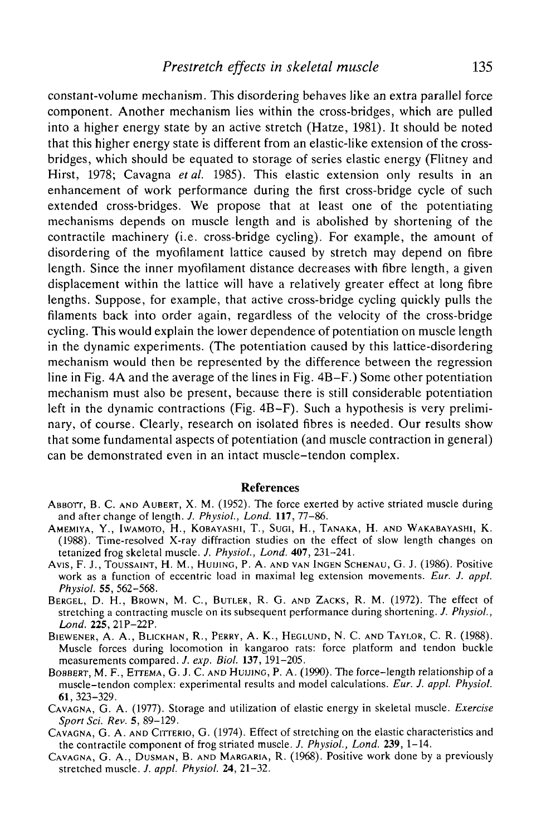constant-volume mechanism. This disordering behaves like an extra parallel force component. Another mechanism lies within the cross-bridges, which are pulled into a higher energy state by an active stretch (Hatze, 1981). It should be noted that this higher energy state is different from an elastic-like extension of the crossbridges, which should be equated to storage of series elastic energy (Flitney and Hirst, 1978; Cavagna *etal.* 1985). This elastic extension only results in an enhancement of work performance during the first cross-bridge cycle of such extended cross-bridges. We propose that at least one of the potentiating mechanisms depends on muscle length and is abolished by shortening of the contractile machinery (i.e. cross-bridge cycling). For example, the amount of disordering of the myofilament lattice caused by stretch may depend on fibre length. Since the inner myofilament distance decreases with fibre length, a given displacement within the lattice will have a relatively greater effect at long fibre lengths. Suppose, for example, that active cross-bridge cycling quickly pulls the filaments back into order again, regardless of the velocity of the cross-bridge cycling. This would explain the lower dependence of potentiation on muscle length in the dynamic experiments. (The potentiation caused by this lattice-disordering mechanism would then be represented by the difference between the regression line in Fig. 4A and the average of the lines in Fig. 4B-F.) Some other potentiation mechanism must also be present, because there is still considerable potentiation left in the dynamic contractions (Fig. 4B-F). Such a hypothesis is very preliminary, of course. Clearly, research on isolated fibres is needed. Our results show that some fundamental aspects of potentiation (and muscle contraction in general) can be demonstrated even in an intact muscle-tendon complex.

## **References**

- ABBOTT, B. C. AND AUBERT, X. M. (1952). The force exerted by active striated muscle during and after change of length. *J. Physiol., Lond.* 117, 77-86.
- AMEMIYA, Y., IWAMOTO, H., KOBAYASHI, T., SUGI, H., TANAKA, H. AND WAKABAYASHI, K. (1988). Time-resolved X-ray diffraction studies on the effect of slow length changes on tetanized frog skeletal muscle. *J. Physiol., Lond.* 407, 231-241.
- Avis, F. J., TOUSSAINT, H. M., HUUINC, P. A. AND VAN INGEN SCHENAU, G. J. (1986). Positive work as a function of eccentric load in maximal leg extension movements. *Eur. J. appl. Physiol.* 55, 562-568.
- BERGEL, D. H., BROWN, M. C., BUTLER, R. G. AND ZACKS, R. M. (1972). The effect of stretching a contracting muscle on its subsequent performance during shortening. /. *Physiol., Lond.* 225, 21P-22P.
- BIEWENER, A. A., BLICKHAN, R., PERRY, A. K., HEGLUND, N. C. AND TAYLOR, C. R. (1988). Muscle forces during locomotion in kangaroo rats: force platform and tendon buckle measurements compared. *J. exp. Biol.* 137, 191-205.
- BOBBERT, M. F., ETTEMA, G. J. C. AND HUIJING, P. A. (1990). The force-length relationship of a muscle-tendon complex: experimental results and model calculations. *Eur. J. appl. Physiol.* 61, 323-329.
- CAVAGNA, G. A. (1977). Storage and utilization of elastic energy in skeletal muscle. *Exercise*
- *Sport Sci. Rev.* 5,89-129. CAVAGNA, G. A. AND CITTERIO, G. (1974). Effect of stretching on the elastic characteristics and the contractile component of frog striated muscle. *J. Physiol., Lond.* 239, 1-14.
- CAVAGNA, G. A., DUSMAN, B. AND MARGARIA, R. (1968). Positive work done by a previously stretched muscle. *J. appl. Physiol.* 24, 21-32.